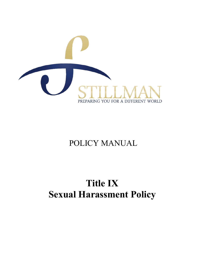

# POLICY MANUAL

# **Title IX Sexual Harassment Policy**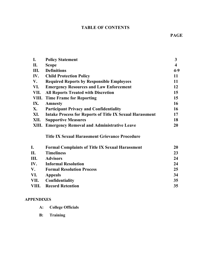# **TABLE OF CONTENTS**

| $\mathbf{I}$ . | <b>Policy Statement</b>                                         | $\mathbf{3}$            |
|----------------|-----------------------------------------------------------------|-------------------------|
| П.             | <b>Scope</b>                                                    | $\overline{\mathbf{4}}$ |
| III.           | <b>Definitions</b>                                              | $4-9$                   |
| IV.            | <b>Child Protection Policy</b>                                  | 11                      |
| V.             | <b>Required Reports by Responsible Employees</b>                | 11                      |
| VI.            | <b>Emergency Resources and Law Enforcement</b>                  | 12                      |
| VII.           | <b>All Reports Treated with Discretion</b>                      | 15                      |
| VIII.          | <b>Time Frame for Reporting</b>                                 | 15                      |
| IX.            | <b>Amnesty</b>                                                  | 16                      |
| X.             | <b>Participant Privacy and Confidentiality</b>                  | 16                      |
| XI.            | <b>Intake Process for Reports of Title IX Sexual Harassment</b> | 17                      |
| XII.           | <b>Supportive Measures</b>                                      | 18                      |
|                | <b>XIII. Emergency Removal and Administrative Leave</b>         | 20                      |
|                | <b>Title IX Sexual Harassment Grievance Procedure</b>           |                         |
| I.             | <b>Formal Complaints of Title IX Sexual Harassment</b>          | 20                      |
| П.             | <b>Timeliness</b>                                               | 23                      |
| III.           | <b>Advisors</b>                                                 | 24                      |
| IV.            | <b>Informal Resolution</b>                                      | 24                      |
| V.             | <b>Formal Resolution Process</b>                                | 25                      |
| 3 7 T          | $\lambda - - -$                                                 | 21                      |

**VI. Appeals 34 Confidentiality** 35 **VIII. Record Retention 35**

# **APPENDIXES**

| $A$ : | <b>College Officials</b> |
|-------|--------------------------|
|-------|--------------------------|

**B: Training**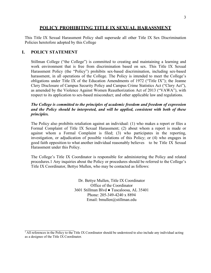#### 3

#### **POLICY PROHIBITING TITLE IX SEXUAL HARASSMENT**

This Title IX Sexual Harassment Policy shall supersede all other Title IX Sex Discrimination Policies heretofore adopted by this College

#### **I. POLICY STATEMENT**

Stillman College ("the College") is committed to creating and maintaining a learning and work environment that is free from discrimination based on sex. This Title IX Sexual Harassment Policy (the "Policy") prohibits sex-based discrimination, including sex-based harassment, in all operations of the College. The Policy is intended to meet the College's obligations under Title IX of the Education Amendments of 1972 ("Title IX"); the Jeanne Clery Disclosure of Campus Security Policy and Campus Crime Statistics Act ("Clery Act"), as amended by the Violence Against Women Reauthorization Act of 2013 ("VAWA"), with respect to its application to sex-based misconduct; and other applicable law and regulations.

#### *The College is committed to the principles of academic freedom and freedom of expression and the Policy should be interpreted, and will be applied, consistent with both of these principles.*

The Policy also prohibits retaliation against an individual: (1) who makes a report or files a Formal Complaint of Title IX Sexual Harassment; (2) about whom a report is made or against whom a Formal Complaint is filed; (3) who participates in the reporting, investigation, or adjudication of possible violations of this Policy; or (4) who engages in good faith opposition to what another individual reasonably believes to be Title IX Sexual Harassment under this Policy.

The College's Title IX Coordinator is responsible for administering the Policy and related procedures.1 Any inquiries about the Policy or procedures should be referred to the College's Title IX Coordinator, Bettye Mullen, who may be contacted as follows:

> Dr. Bettye Mullen, Title IX Coordinator Office of the Coordinator 3601 Stillman Blvd ● Tuscaloosa, AL 35401 Phone: 205-349-4240 x 8894 Email: bmullen@stillman.edu

 $\frac{1}{1}$  All references in the Policy to the Title IX Coordinator should be understood to also include any individual acting as a designee of the Title IX Coordinator.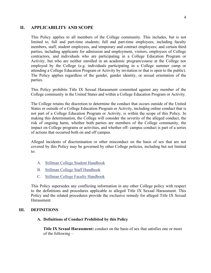#### 4

#### **II. APPLICABILITY AND SCOPE**

This Policy applies to all members of the College community. This includes, but is not limited to, full and part-time students; full and part-time employees, including faculty members, staff, student employees, and temporary and contract employees; and certain third parties, including applicants for admission and employment, visitors, employees of College contractors, and individuals who are participating in a College Education Program or Activity, but who are neither enrolled in an academic program/course at the College nor employed by the College (e.g. individuals participating in a College summer camp or attending a College Education Program or Activity by invitation or that is open to the public). The Policy applies regardless of the gender, gender identity, or sexual orientation of the parties.

This Policy prohibits Title IX Sexual Harassment committed against any member of the College community in the United States and within a College Education Program or Activity.

The College retains the discretion to determine the conduct that occurs outside of the United States or outside of a College Education Program or Activity, including online conduct that is not part of a College Education Program or Activity, is within the scope of this Policy. In making this determination, the College will consider the severity of the alleged conduct, the risk of ongoing harm, whether both parties are members of the College community, the impact on College programs or activities, and whether off- campus conduct is part of a series of actions that occurred both on and off campus.

Alleged incidents of discrimination or other misconduct on the basis of sex that are not covered by this Policy may be governed by other College policies, including but not limited to:

- A. Stillman College Student Handbook
- B. Stillman College Staff Handbook
- C. Stillman College Faculty Handbook

This Policy supersedes any conflicting information in any other College policy with respect to the definitions and procedures applicable to alleged Title IX Sexual Harassment. This Policy and the related procedures provide the exclusive remedy for alleged Title IX Sexual **Harassment** 

#### **III. DEFINITIONS**

#### **A. Definitions of Conduct Prohibited by this Policy**

**Title IX Sexual Harassment:** conduct on the basis of sex that satisfies one or more of the following –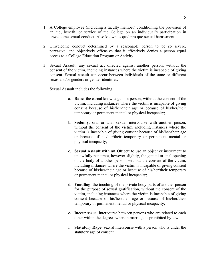- 1. A College employee (including a faculty member) conditioning the provision of an aid, benefit, or service of the College on an individual's participation in unwelcome sexual conduct. Also known as quid pro quo sexual harassment.
- 2. Unwelcome conduct determined by a reasonable person to be so severe, pervasive, and objectively offensive that it effectively denies a person equal access to a College Education Program or Activity.
- 3. Sexual Assault: any sexual act directed against another person, without the consent of the victim, including instances where the victim is incapable of giving consent. Sexual assault can occur between individuals of the same or different sexes and/or genders or gender identities.

Sexual Assault includes the following:

- a. **Rape**: the carnal knowledge of a person, without the consent of the victim, including instances where the victim is incapable of giving consent because of his/her/their age or because of his/her/their temporary or permanent mental or physical incapacity;
- b. **Sodomy**: oral or anal sexual intercourse with another person, without the consent of the victim, including instances where the victim is incapable of giving consent because of his/her/their age or because of his/her/their temporary or permanent mental or physical incapacity;
- c. **Sexual Assault with an Object**: to use an object or instrument to unlawfully penetrate, however slightly, the genital or anal opening of the body of another person, without the consent of the victim, including instances where the victim is incapable of giving consent because of his/her/their age or because of his/her/their temporary or permanent mental or physical incapacity;
- d. **Fondling**: the touching of the private body parts of another person for the purpose of sexual gratification, without the consent of the victim, including instances where the victim is incapable of giving consent because of his/her/their age or because of his/her/their temporary or permanent mental or physical incapacity;
- **e. Incest**: sexual intercourse between persons who are related to each other within the degrees wherein marriage is prohibited by law
- f. **Statutory Rape**: sexual intercourse with a person who is under the statutory age of consent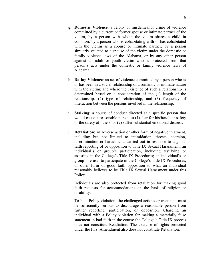- g. **Domestic Violence**: a felony or misdemeanor crime of violence committed by a current or former spouse or intimate partner of the victim, by a person with whom the victim shares a child in common, by a person who is cohabitating with or has cohabitated with the victim as a spouse or intimate partner, by a person similarly situated to a spouse of the victim under the domestic or family violence laws of the Alabama, or by any other person against an adult or youth victim who is protected from that person's acts under the domestic or family violence laws of Alabama.
- h. **Dating Violence**: an act of violence committed by a person who is or has been in a social relationship of a romantic or intimate nature with the victim; and where the existence of such a relationship is determined based on a consideration of the (1) length of the relationship. (2) type of relationship, and (3) frequency of interaction between the persons involved in the relationship.
- i. **Stalking**: a course of conduct directed at a specific person that would cause a reasonable person to (1) fear for his/her/their safety or the safety of others, or (2) suffer substantial emotional distress.
- j. **Retaliation**: an adverse action or other form of negative treatment, including but not limited to intimidation, threats, coercion, discrimination or harassment, carried out in response to a goodfaith reporting of or opposition to Title IX Sexual Harassment; an individual's or group's participation, including testifying or assisting in the College's Title IX Procedures; an individual's or group's refusal to participate in the College's Title IX Procedures; or other form of good faith opposition to what an individual reasonably believes to be Title IX Sexual Harassment under this Policy.

Individuals are also protected from retaliation for making good faith requests for accommodations on the basis of religion or disability.

To be a Policy violation, the challenged actions or treatment must be sufficiently serious to discourage a reasonable person from further reporting, participation, or opposition. Charging an individual with a Policy violation for making a materially false statement in bad faith in the course the College's Title IX process does not constitute Retaliation. The exercise of rights protected under the First Amendment also does not constitute Retaliation.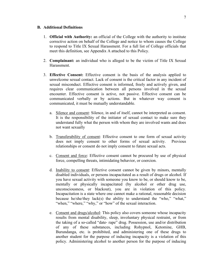#### **B. Additional Definitions**

- 1. **Official with Authority:** an official of the College with the authority to institute corrective action on behalf of the College and notice to whom causes the College to respond to Title IX Sexual Harassment. For a full list of College officials that meet this definition, see Appendix A attached to this Policy.
- 2. **Complainant:** an individual who is alleged to be the victim of Title IX Sexual **Harassment**
- 3. **Effective Consent:** Effective consent is the basis of the analysis applied to unwelcome sexual contact. Lack of consent is the critical factor in any incident of sexual misconduct. Effective consent is informed, freely and actively given, and requires clear communication between all persons involved in the sexual encounter. Effective consent is active, not passive. Effective consent can be communicated verbally or by actions. But in whatever way consent is communicated, it must be mutually understandable.
	- a. Silence and consent: Silence, in and of itself, cannot be interpreted as consent. It is the responsibility of the initiator of sexual contact to make sure they understand fully what the person with whom they are involved wants and does not want sexually
	- b. Transferability of consent: Effective consent to one form of sexual activity does not imply consent to other forms of sexual activity. Previous relationships or consent do not imply consent to future sexual acts.
	- c. Consent and force: Effective consent cannot be procured by use of physical force, compelling threats, intimidating behavior, or coercion.
	- d. Inability to consent: Effective consent cannot be given by minors, mentally disabled individuals, or persons incapacitated as a result of drugs or alcohol. If you have sexual activity with someone you know to be, or should know to be, mentally or physically incapacitated (by alcohol or other drug use, unconsciousness, or blackout), you are in violation of this policy. Incapacitation is a state where one cannot make a rational, reasonable decision because he/she/they lack(s) the ability to understand the "who," "what," "when," "where," "why," or "how" of the sexual interaction.
	- e. Consent and drugs/alcohol: This policy also covers someone whose incapacity results from mental disability, sleep, involuntary physical restraint, or from the taking of a so-called "date- rape" drug. Possession, use and/or distribution of any of these substances, including Rohypnol, Ketomine, GHB, Burundanga, etc. is prohibited, and administering one of these drugs to another student for the purpose of inducing incapacity is a violation of this policy. Administering alcohol to another person for the purpose of inducing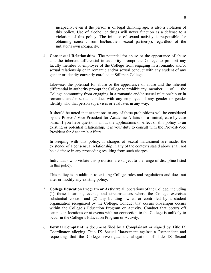incapacity, even if the person is of legal drinking age, is also a violation of this policy. Use of alcohol or drugs will never function as a defense to a violation of this policy. The initiator of sexual activity is responsible for obtaining consent from his/her/their sexual partner(s), regardless of the initiator's own incapacity.

4. **Consensual Relationships:** The potential for abuse or the appearance of abuse and the inherent differential in authority prompt the College to prohibit any faculty member or employee of the College from engaging in a romantic and/or sexual relationship or in romantic and/or sexual conduct with any student of any gender or identity currently enrolled at Stillman College.

Likewise, the potential for abuse or the appearance of abuse and the inherent differential in authority prompt the College to prohibit any member of the College community from engaging in a romantic and/or sexual relationship or in romantic and/or sexual conduct with any employee of any gender or gender identity who that person supervises or evaluates in any way.

It should be noted that exceptions to any of these prohibitions will be considered by the Provost/ Vice President for Academic Affairs on a limited, case-by-case basis. If you have questions about the applications or effect of this policy to an existing or potential relationship, it is your duty to consult with the Provost/Vice President for Academic Affairs.

In keeping with this policy, if charges of sexual harassment are made, the existence of a consensual relationship in any of the contexts stated above shall not be a defense in any proceeding resulting from such charges.

Individuals who violate this provision are subject to the range of discipline listed in this policy.

This policy is in addition to existing College rules and regulations and does not alter or modify any existing policy.

- 5. **College Education Program or Activity:** all operations of the College, including (1) those locations, events, and circumstances where the College exercises substantial control and (2) any building owned or controlled by a student organization recognized by the College. Conduct that occurs on-campus occurs within the College's Education Program or Activity. Conduct that occurs off campus in locations or at events with no connection to the College is unlikely to occur in the College's Education Program or Activity.
- 6. **Formal Complaint:** a document filed by a Complainant or signed by Title IX Coordinator alleging Title IX Sexual Harassment against a Respondent and requesting that the College investigate the allegation of Title IX Sexual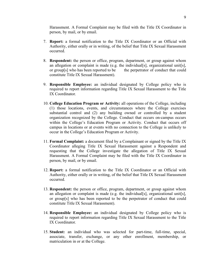Harassment. A Formal Complaint may be filed with the Title IX Coordinator in person, by mail, or by email.

- 7. **Report:** a formal notification to the Title IX Coordinator or an Official with Authority, either orally or in writing, of the belief that Title IX Sexual Harassment occurred.
- 8. **Respondent:** the person or office, program, department, or group against whom an allegation or complaint is made (e.g. the individual  $[s]$ , organizational unit  $[s]$ , or group[s] who has been reported to be the perpetrator of conduct that could constitute Title IX Sexual Harassment).
- 9. **Responsible Employee:** an individual designated by College policy who is required to report information regarding Title IX Sexual Harassment to the Title IX Coordinator.
- 10. **College Education Program or Activity:** all operations of the College, including (1) those locations, events, and circumstances where the College exercises substantial control and (2) any building owned or controlled by a student organization recognized by the College. Conduct that occurs on-campus occurs within the College's Education Program or Activity. Conduct that occurs off campus in locations or at events with no connection to the College is unlikely to occur in the College's Education Program or Activity.
- 11. **Formal Complaint:** a document filed by a Complainant or signed by the Title IX Coordinator alleging Title IX Sexual Harassment against a Respondent and requesting that the College investigate the allegation of Title IX Sexual Harassment. A Formal Complaint may be filed with the Title IX Coordinator in person, by mail, or by email.
- 12. **Report:** a formal notification to the Title IX Coordinator or an Official with Authority, either orally or in writing, of the belief that Title IX Sexual Harassment occurred.
- 13. **Respondent:** the person or office, program, department, or group against whom an allegation or complaint is made (e.g. the individual  $[s]$ , organizational unit  $[s]$ , or group[s] who has been reported to be the perpetrator of conduct that could constitute Title IX Sexual Harassment).
- 14. **Responsible Employee:** an individual designated by College policy who is required to report information regarding Title IX Sexual Harassment to the Title IX Coordinator.
- 15. **Student:** an individual who was selected for part-time, full-time, special, associate, transfer, exchange, or any other enrollment, membership, or matriculation in or at the College.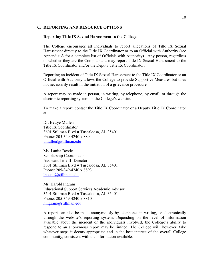#### **C. REPORTING AND RESOURCE OPTIONS**

#### **Reporting Title IX Sexual Harassment to the College**

The College encourages all individuals to report allegations of Title IX Sexual Harassment directly to the Title IX Coordinator or to an Official with Authority (see Appendix A for a complete list of Officials with Authority). Any person, regardless of whether they are the Complainant, may report Title IX Sexual Harassment to the Title IX Coordinator and/or the Deputy Title IX Coordinator.

Reporting an incident of Title IX Sexual Harassment to the Title IX Coordinator or an Official with Authority allows the College to provide Supportive Measures but does not necessarily result in the initiation of a grievance procedure.

A report may be made in person, in writing, by telephone, by email, or through the electronic reporting system on the College's website.

To make a report, contact the Title IX Coordinator or a Deputy Title IX Coordinator at:

Dr. Bettye Mullen Title IX Coordinator 3601 Stillman Blvd ● Tuscaloosa, AL 35401 Phone: 205-349-4240 x 8894 bmullen@stillman.edu

Ms. Lanita Bostic Scholarship Coordinator Assistant Title III Director 3601 Stillman Blvd ● Tuscaloosa, AL 35401 Phone: 205-349-4240 x 8893 lbostic@stillman.edu

Mr. Harold Ingram Educational Support Services Academic Advisor 3601 Stillman Blvd ● Tuscaloosa, AL 35401 Phone: 205-349-4240 x 8810 hingram@stillman.edu

A report can also be made anonymously by telephone, in writing, or electronically through the website's reporting system. Depending on the level of information available about the incident or the individuals involved, the College's ability to respond to an anonymous report may be limited. The College will, however, take whatever steps it deems appropriate and in the best interest of the overall College community, consistent with the information available.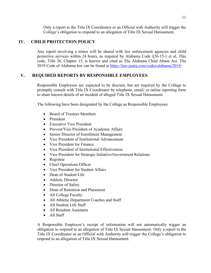Only a report to the Title IX Coordinator or an Official with Authority will trigger the College's obligation to respond to an allegation of Title IX Sexual Harassment.

## **IV. CHILD PROTECTION POLICY**

Any report involving a minor will be shared with law enforcement agencies and child protective services within 24 hours, as required by Alabama Code §26-15-1 et al. This code, Title 26, Chapter 15, is known and cited as The Alabama Child Abuse Act. The 2019 Code of Alabama law can be found at https://law.justia.com/codes/alabama/2019/

## **V. REQUIRED REPORTS BY RESPONSIBLE EMPLOYEES**

Responsible Employees are expected to be discreet, but are required by the College to promptly consult with Title IX Coordinator by telephone, email, or online reporting form to share known details of an incident of alleged Title IX Sexual Harassment.

The following have been designated by the College as Responsible Employees:

- Board of Trustees Members
- President
- Executive Vice President
- Provost/Vice President of Academic Affairs
- Senior Director of Enrollment Management
- Vice President of Institutional Advancement
- Vice President for Finance
- Vice President of Institutional Effectiveness
- Vice President for Strategic Initiative/Government Relations
- Registrar
- Chief Operations Officer
- Vice President for Student Affairs
- Dean of Student Life
- Athletic Director
- Director of Safety
- Dean of Retention and Placement
- All College Faculty
- All Athletic Department Coaches and Staff
- All Student Life Staff
- All Resident Assistants
- All Staff

A Responsible Employee's receipt of information will not automatically trigger an obligation to respond to an allegation of Title IX Sexual Harassment. Only a report to the Title IX Coordinator or an Official with Authority will trigger the College's obligation to respond to an allegation of Title IX Sexual Harassment.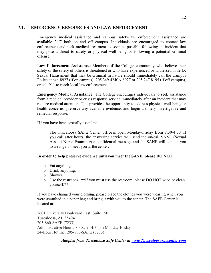## **VI. EMERGENCY RESOURCES AND LAW ENFORCEMENT**

Emergency medical assistance and campus safety/law enforcement assistance are available 24/7 both on and off campus. Individuals are encouraged to contact law enforcement and seek medical treatment as soon as possible following an incident that may pose a threat to safety or physical well-being or following a potential criminal offense.

**Law Enforcement Assistance:** Members of the College community who believe their safety or the safety of others is threatened or who have experienced or witnessed Title IX Sexual Harassment that may be criminal in nature should immediately call the Campus Police at ext. 8927 (if on campus), 205.349.4240 x 8927 or 205.247.8195 (if off campus), or call 911 to reach local law enforcement.

**Emergency Medical Assistance:** The College encourages individuals to seek assistance from a medical provider or crisis response service immediately after an incident that may require medical attention. This provides the opportunity to address physical well-being or health concerns, preserve any available evidence, and begin a timely investigative and remedial response.

"If you have been sexually assaulted...

The Tuscaloosa SAFE Center office is open Monday-Friday from 8:30-4:30. If you call after hours, the answering service will send the on-call SANE (Sexual Assault Nurse Examiner) a confidential message and the SANE will contact you to arrange to meet you at the center.

#### **In order to help preserve evidence until you meet the SANE, please DO NOT:**

- o Eat anything.
- o Drink anything.
- o Shower.
- o Use the restroom. \*\*If you must use the restroom, please DO NOT wipe or clean yourself.\*\*

If you have changed your clothing, please place the clothes you were wearing when you were assaulted in a paper bag and bring it with you to the center. The SAFE Center is located at:

1601 University Boulevard East, Suite 150 Tuscaloosa, AL 35404 205-860-SAFE (7233) Administrative Hours: 8:30am - 4:30pm Monday-Friday 24-Hour Hotline: 205-860-SAFE (7233)

*Adopted from Tuscaloosa Safe Center at www.Tucscaloosasaecenter.com*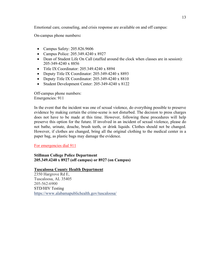Emotional care, counseling, and crisis response are available on and off campus:

On-campus phone numbers**:**

- Campus Safety: 205.826.9606
- Campus Police: 205.349.4240 x 8927
- Dean of Student Life On Call (staffed around the clock when classes are in session): 205-349-4240 x 8856
- Title IX Coordinator: 205.349.4240 x 8894
- Deputy Title IX Coordinator: 205-349-4240 x 8893
- Deputy Title IX Coordinator: 205-349-4240 x 8810
- Student Development Center: 205-349-4240 x 8122

Off-campus phone numbers: Emergencies: 911

In the event that the incident was one of sexual violence, do everything possible to preserve evidence by making certain the crime-scene is not disturbed. The decision to press charges does not have to be made at this time. However, following these procedures will help preserve this option for the future. If involved in an incident of sexual violence, please do not bathe, urinate, douche, brush teeth, or drink liquids. Clothes should not be changed. However, if clothes are changed, bring all the original clothing to the medical center in a paper bag, as plastic bags may damage the evidence.

For emergencies dial 911

**Stillman College Police Department 205.349.4240 x 8927 (off campus) or 8927 (on Campus)**

**Tuscaloosa County Health Department**

2350 Hargrove Rd E, Tuscaloosa, AL 35405 205-562-6900 STD/HIV Testing https://www.alabamapublichealth.gov/tuscaloosa/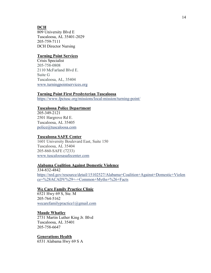## **DCH**

809 University Blvd E Tuscaloosa, AL 35401-2029 205-759-7111 DCH Director Nursing

#### **Turning Point Services**

Crisis Specialist 205-758-0808 2110 McFarland Blvd E. Suite G Tuscaloosa, AL, 35404 www.turningpointservices.org

#### **Turning Point First Presbyterian Tuscaloosa**

https://www.fpctusc.org/missions/local-mission/turning-point/

#### **Tuscaloosa Police Department**

205-349-2121 2501 Hargrove Rd E. Tuscaloosa, AL 35405 police@tuscaloosa.com

#### **Tuscaloosa SAFE Center**

1601 University Boulevard East, Suite 150 Tuscaloosa, AL 35404 205-860-SAFE (7233) www.tuscaloosasafecenter.com

#### **Alabama Coalition Against Domestic Violence**

334-832-4842 https://nrd.gov/resource/detail/15102527/Alabama+Coalition+Against+Domestic+Violen ce+%28ACADV%29+-+Common+Myths+%26+Facts

#### **We Care Family Practice Clinic**

6521 Hwy 69 S, Ste. M 205-764-5162 wecarefamilypractice1@gmail.com

#### **Maude Whatley**

2731 Martin Luther King Jr. Blvd Tuscaloosa, AL 35401 205-758-6647

#### **Generations Health**

6531 Alabama Hwy 69 S A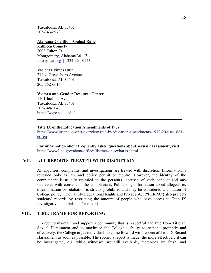Tuscaloosa, AL 35405 205-343-6979

#### **Alabama Coalition Against Rape**

Kathleen Connely 7003 Fulton Ct. Montgomery, Alabama 36117 info@acar.org | 334-264-0123

#### **Violent Crimes Unit**

714 ½ Greensboro Avenue Tuscaloosa, AL 35401 205-752-0616

#### **Women and Gender Resource Center**

1101 Jackson Ave Tuscaloosa, AL 35401 205-348-5040 https://wgrc.sa.ua.edu/

#### **Title IX of the Education Amendments of 1972**

https://www.justice.gov/crt/overview-title-ix-education-amendments-1972-20-usc-1681 et-seq

 $\mathcal{L}_\mathcal{L} = \mathcal{L}_\mathcal{L} = \mathcal{L}_\mathcal{L} = \mathcal{L}_\mathcal{L} = \mathcal{L}_\mathcal{L} = \mathcal{L}_\mathcal{L} = \mathcal{L}_\mathcal{L} = \mathcal{L}_\mathcal{L} = \mathcal{L}_\mathcal{L} = \mathcal{L}_\mathcal{L} = \mathcal{L}_\mathcal{L} = \mathcal{L}_\mathcal{L} = \mathcal{L}_\mathcal{L} = \mathcal{L}_\mathcal{L} = \mathcal{L}_\mathcal{L} = \mathcal{L}_\mathcal{L} = \mathcal{L}_\mathcal{L}$ 

**For information about frequently asked questions about sexual harassment, visit** https://www2.ed.gov/about/offices/list/ocr/qa-sexharass.html

#### **VII. ALL REPORTS TREATED WITH DISCRETION**

All inquiries, complaints, and investigations are treated with discretion. Information is revealed only as law and policy permit or require. However, the identity of the complainant is usually revealed to the person(s) accused of such conduct and any witnesses with consent of the complainant. Publicizing information about alleged sex discrimination or retaliation is strictly prohibited and may be considered a violation of College policy. The Family Educational Rights and Privacy Act ("FERPA") also protects students' records by restricting the amount of people who have access to Title IX investigative materials and/or records.

#### **VIII. TIME FRAME FOR REPORTING**

In order to maintain and support a community that is respectful and free from Title IX Sexual Harassment and to maximize the College's ability to respond promptly and effectively, the College urges individuals to come forward with reports of Title IX Sexual Harassment as soon as possible. The sooner a report is made, the more effectively it can be investigated, e.g. while witnesses are still available, memories are fresh, and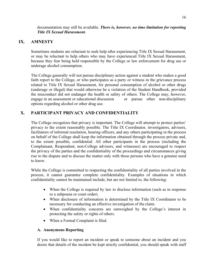#### documentation may still be available. *There is, however, no time limitation for reporting Title IX Sexual Harassment.*

## **IX. AMNESTY**

Sometimes students are reluctant to seek help after experiencing Title IX Sexual Harassment, or may be reluctant to help others who may have experienced Title IX Sexual Harassment, because they fear being held responsible by the College or law enforcement for drug use or underage alcohol consumption.

The College generally will not pursue disciplinary action against a student who makes a good faith report to the College, or who participates as a party or witness in the grievance process related to Title IX Sexual Harassment, for personal consumption of alcohol or other drugs (underage or illegal) that would otherwise be a violation of the Student Handbook, provided the misconduct did not endanger the health or safety of others. The College may, however, engage in an assessment or educational discussion or pursue other non-disciplinary options regarding alcohol or other drug use.

# **X. PARTICIPANT PRIVACY AND CONFIDENTIALITY**

The College recognizes that privacy is important. The College will attempt to protect parties' privacy to the extent reasonably possible. The Title IX Coordinator, investigators, advisors, facilitators of informal resolution, hearing officers, and any others participating in the process on behalf of the College shall keep the information obtained through the process private and, to the extent possible, confidential. All other participants in the process (including the Complainant, Respondent, non-College advisors, and witnesses) are encouraged to respect the privacy of the parties and the confidentiality of the proceedings and circumstances giving rise to the dispute and to discuss the matter only with those persons who have a genuine need to know.

While the College is committed to respecting the confidentiality of all parties involved in the process, it cannot guarantee complete confidentiality. Examples of situations in which confidentiality cannot be maintained include, but are not limited to, the following:

- When the College is required by law to disclose information (such as in response to a subpoena or court order).
- When disclosure of information is determined by the Title IX Coordinator to be necessary for conducting an effective investigation of the claim.
- When confidentiality concerns are outweighed by the College's interest in protecting the safety or rights of others.
- When a Formal Complaint is filed.

## **A. Anonymous Reporting**

If you would like to report an incident or speak to someone about an incident and you desire that details of the incident be kept strictly confidential, you should speak with staff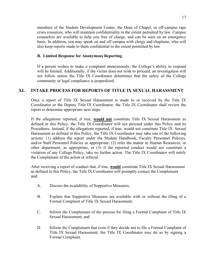members of the Student Development Center, the Dean of Chapel, or off-campus rape crisis resources, who will maintain confidentiality to the extent permitted by law. Campus counselors are available to help you free of charge, and can be seen on an emergency basis. In addition, you may speak on and off campus with clergy and chaplains, who will also keep reports made to them confidential to the extent permitted by law

## **B. Limited Response for Anonymous Reporting**

If a person wishes to make a complaint anonymously, the College's ability to respond will be limited. Additionally, if the victim does not wish to proceed, an investigation will not follow unless the Title IX Coordinator determines that the safety of the College community or legal compliance is jeopardized.

# **XI. INTAKE PROCESS FOR REPORTS OF TITLE IX SEXUAL HARASSMENT**

Once a report of Title IX Sexual Harassment is made to or received by the Title IX Coordinator or the Deputy Title IX Coordinator, the Title IX Coordinator shall review the report to determine appropriate next steps.

If the allegations reported, if true, **would not** constitute Title IX Sexual Harassment as defined in this Policy, the Title IX Coordinator will not proceed under this Policy and its Procedures. Instead, if the allegations reported, if true, would not constitute Title IX Sexual Harassment as defined in this Policy, the Title IX Coordinator may take one of the following actions: (1) address the report under the Student Handbook, Faculty Personnel Policies, and/or Staff Personnel Policies as appropriate; (2) refer the matter to Human Resources, or other department, as appropriate, or (3) if the reported conduct would not constitute a violation of any College Policy, take no further action. The Title IX Coordinator will notify the Complainant of the action or referral.

After receiving a report of conduct that, if true, **would** constitute Title IX Sexual Harassment as defined in this Policy, the Title IX Coordinator will promptly contact the Complainant and:

- A. Discuss the availability of Supportive Measures;
- B. Explain that Supportive Measures are available with or without the filing of a Formal Complaint of Title IX Sexual Harassment;
- C. Inform the Complainant of the process for filing a Formal Complaint of Title IX Sexual Harassment; and
- D. Inform the Complainant that even if they decide not to file a Formal Complaint of Title IX Sexual Harassment, the Title IX Coordinator may do so by signing a Formal Complaint.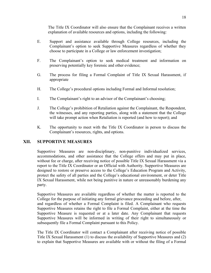The Title IX Coordinator will also ensure that the Complainant receives a written explanation of available resources and options, including the following:

- E. Support and assistance available through College resources, including the Complainant's option to seek Supportive Measures regardless of whether they choose to participate in a College or law enforcement investigation;
- F. The Complainant's option to seek medical treatment and information on preserving potentially key forensic and other evidence;
- G. The process for filing a Formal Complaint of Title IX Sexual Harassment, if appropriate
- H. The College's procedural options including Formal and Informal resolution;
- I. The Complainant's right to an advisor of the Complainant's choosing;
- J. The College's prohibition of Retaliation against the Complainant, the Respondent, the witnesses, and any reporting parties, along with a statement that the College will take prompt action when Retaliation is reported (and how to report); and
- K. The opportunity to meet with the Title IX Coordinator in person to discuss the Complainant's resources, rights, and options.

# **XII. SUPPORTIVE MEASURES**

Supportive Measures are non-disciplinary, non-punitive individualized services, accommodations, and other assistance that the College offers and may put in place, without fee or charge, after receiving notice of possible Title IX Sexual Harassment via a report to the Title IX Coordinator or an Official with Authority. Supportive Measures are designed to restore or preserve access to the College's Education Program and Activity, protect the safety of all parties and the College's educational environment, or deter Title IX Sexual Harassment, while not being punitive in nature or unreasonably burdening any party.

Supportive Measures are available regardless of whether the matter is reported to the College for the purpose of initiating any formal grievance proceeding and before, after, and regardless of whether a Formal Complaint is filed. A Complainant who requests Supportive Measures retains the right to file a Formal Complaint, either at the time the Supportive Measure is requested or at a later date. Any Complainant that requests Supportive Measures will be informed in writing of their right to simultaneously or subsequently file a Formal Complaint pursuant to this Policy.

The Title IX Coordinator will contact a Complainant after receiving notice of possible Title IX Sexual Harassment (1) to discuss the availability of Supportive Measures and (2) to explain that Supportive Measures are available with or without the filing of a Formal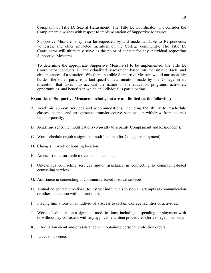Complaint of Title IX Sexual Harassment. The Title IX Coordinator will consider the Complainant's wishes with respect to implementation of Supportive Measures.

Supportive Measures may also be requested by and made available to Respondents, witnesses, and other impacted members of the College community. The Title IX Coordinator will ultimately serve as the point of contact for any individual requesting Supportive Measures.

To determine the appropriate Supportive Measure(s) to be implemented, the Title IX Coordinator conducts an individualized assessment based on the unique facts and circumstances of a situation. Whether a possible Supportive Measure would unreasonably burden the other party is a fact-specific determination made by the College in its discretion that takes into account the nature of the education programs, activities, opportunities, and benefits in which an individual is participating.

#### **Examples of Supportive Measures include, but are not limited to, the following:**

- A. Academic support services and accommodations, including the ability to reschedule classes, exams, and assignments, transfer course sections, or withdraw from courses without penalty;
- B. Academic schedule modifications (typically to separate Complainant and Respondent);
- C. Work schedule or job assignment modifications (for College employment);
- D. Changes in work or housing location;
- E. An escort to ensure safe movement on campus;
- F. On-campus counseling services and/or assistance in connecting to community-based counseling services;
- G. Assistance in connecting to community-based medical services;
- H. Mutual no contact directives (to instruct individuals to stop all attempts at communication or other interaction with one another);
- I. Placing limitations on an individual's access to certain College facilities or activities;
- J. Work schedule or job assignment modifications, including suspending employment with or without pay consistent with any applicable written procedures (for College positions);
- K. Information about and/or assistance with obtaining personal protection orders;
- L. Leave of absence;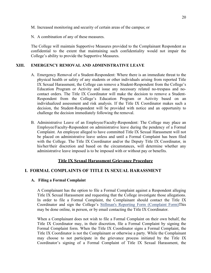- M. Increased monitoring and security of certain areas of the campus; or
- N. A combination of any of these measures.

The College will maintain Supportive Measures provided to the Complainant Respondent as confidential to the extent that maintaining such confidentiality would not impair the College's ability to provide the Supportive Measures.

#### **XIII. EMERGENCY REMOVAL AND ADMINISTRATIVE LEAVE**

- A. Emergency Removal of a Student-Respondent: Where there is an immediate threat to the physical health or safety of any students or other individuals arising from reported Title IX Sexual Harassment, the College can remove a Student-Respondent from the College's Education Program or Activity and issue any necessary related no-trespass and nocontact orders. The Title IX Coordinator will make the decision to remove a Student-Respondent from the College's Education Program or Activity based on an individualized assessment and risk analysis. If the Title IX Coordinator makes such a decision, the Student-Respondent will be provided with notice and an opportunity to challenge the decision immediately following the removal.
- B. Administrative Leave of an Employee/Faculty-Respondent: The College may place an Employee/Faculty-Respondent on administrative leave during the pendency of a Formal Complaint. An employee alleged to have committed Title IX Sexual Harassment will not be placed on administrative leave unless and until a Formal Complaint has been filed with the College. The Title IX Coordinator and/or the Deputy Title IX Coordinator, in his/her/their discretion and based on the circumstances, will determine whether any administrative leave imposed is to be imposed with or without pay or benefits.

## **Title IX Sexual Harassment Grievance Procedure**

## **I. FORMAL COMPLAINTS OF TITLE IX SEXUAL HARASSMENT**

#### **A. Filing a Formal Complaint**

A Complainant has the option to file a Formal Complaint against a Respondent alleging Title IX Sexual Harassment and requesting that the College investigate those allegations. In order to file a Formal Complaint, the Complainant should contact the Title IX Coordinator and sign the College's Stillman's Reporting Form (Complaint Form)This may be done online, in person, or by email contacting the Title IX Coordinator.

When a Complainant does not wish to file a Formal Complaint on their own behalf, the Title IX Coordinator may, in their discretion, file a Formal Complaint by signing the Formal Complaint form. When the Title IX Coordinator signs a Formal Complaint, the Title IX Coordinator is not the Complainant or otherwise a party. While the Complainant may choose to not participate in the grievance process initiated by the Title IX Coordinator's signing of a Formal Complaint of Title IX Sexual Harassment, the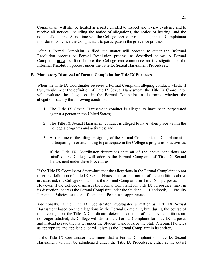Complainant will still be treated as a party entitled to inspect and review evidence and to receive all notices, including the notice of allegations, the notice of hearing, and the notice of outcome. At no time will the College coerce or retaliate against a Complainant in order to convince the Complainant to participate in the grievance process.

After a Formal Complaint is filed, the matter will proceed to either the Informal Resolution process or Formal Resolution process, as described below. A Formal Complaint **must** be filed before the College can commence an investigation or the Informal Resolution process under the Title IX Sexual Harassment Procedures.

#### **B. Mandatory Dismissal of Formal Complaint for Title IX Purposes**

When the Title IX Coordinator receives a Formal Complaint alleging conduct, which, if true, would meet the definition of Title IX Sexual Harassment, the Title IX Coordinator will evaluate the allegations in the Formal Complaint to determine whether the allegations satisfy the following conditions:

- 1. The Title IX Sexual Harassment conduct is alleged to have been perpetrated against a person in the United States;
- 2. The Title IX Sexual Harassment conduct is alleged to have taken place within the College's programs and activities; and
- 3. At the time of the filing or signing of the Formal Complaint, the Complainant is participating in or attempting to participate in the College's programs or activities.

If the Title IX Coordinator determines that **all** of the above conditions are satisfied, the College will address the Formal Complaint of Title IX Sexual Harassment under these Procedures.

If the Title IX Coordinator determines that the allegations in the Formal Complaint do not meet the definition of Title IX Sexual Harassment or that not all of the conditions above are satisfied, the College will dismiss the Formal Complaint for Title IX purposes.

However, if the College dismisses the Formal Complaint for Title IX purposes, it may, in its discretion, address the Formal Complaint under the Student Handbook, Faculty Personnel Policies, or the Staff Personnel Policies as appropriate.

Additionally, if the Title IX Coordinator investigates a matter as Title IX Sexual Harassment based on the allegations in the Formal Complaint, but, during the course of the investigation, the Title IX Coordinator determines that all of the above conditions are no longer satisfied, the College will dismiss the Formal Complaint for Title IX purposes and instead pursue the matter under the Student Handbook or the Staff Personnel Policies as appropriate and applicable, or will dismiss the Formal Complaint in its entirety.

If the Title IX Coordinator determines that a Formal Complaint of Title IX Sexual Harassment will not be adjudicated under the Title IX Procedures, either at the outset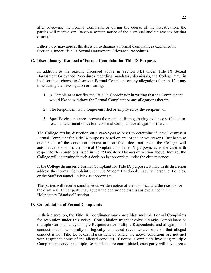after reviewing the Formal Complaint or during the course of the investigation, the parties will receive simultaneous written notice of the dismissal and the reasons for that dismissal.

Either party may appeal the decision to dismiss a Formal Complaint as explained in Section I, under Title IX Sexual Harassment Grievance Procedures.

#### **C. Discretionary Dismissal of Formal Complaint for Title IX Purposes**

In addition to the reasons discussed above in Section I(B) under Title IX Sexual Harassment Grievance Procedures regarding mandatory dismissals, the College may, in its discretion, choose to dismiss a Formal Complaint or any allegations therein, if at any time during the investigation or hearing:

- 1. A Complainant notifies the Title IX Coordinator in writing that the Complainant would like to withdraw the Formal Complaint or any allegations therein;
- 2. The Respondent is no longer enrolled or employed by the recipient; or
- 3. Specific circumstances prevent the recipient from gathering evidence sufficient to reach a determination as to the Formal Complaint or allegations therein.

The College retains discretion on a case-by-case basis to determine if it will dismiss a Formal Complaint for Title IX purposes based on any of the above reasons. Just because one or all of the conditions above are satisfied, does not mean the College will automatically dismiss the Formal Complaint for Title IX purposes as is the case with respect to the conditions listed in the "Mandatory Dismissal" section above. Instead, the College will determine if such a decision is appropriate under the circumstances.

If the College dismisses a Formal Complaint for Title IX purposes, it may in its discretion address the Formal Complaint under the Student Handbook, Faculty Personnel Policies, or the Staff Personnel Policies as appropriate.

The parties will receive simultaneous written notice of the dismissal and the reasons for the dismissal. Either party may appeal the decision to dismiss as explained in the "Mandatory Dismissal" section.

#### **D. Consolidation of Formal Complaints**

In their discretion, the Title IX Coordinator may consolidate multiple Formal Complaints for resolution under this Policy. Consolidation might involve a single Complainant or multiple Complainants, a single Respondent or multiple Respondents, and allegations of conduct that is temporally or logically connected (even where some of that alleged conduct is not Title IX Sexual Harassment or where the above conditions are not met with respect to some of the alleged conduct). If Formal Complaints involving multiple Complainants and/or multiple Respondents are consolidated, each party will have access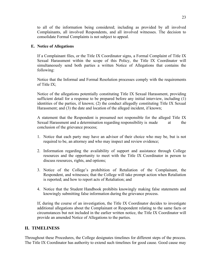to all of the information being considered; including as provided by all involved Complainants, all involved Respondents, and all involved witnesses. The decision to consolidate Formal Complaints is not subject to appeal.

#### **E. Notice of Allegations**

If a Complainant files, or the Title IX Coordinator signs, a Formal Complaint of Title IX Sexual Harassment within the scope of this Policy, the Title IX Coordinator will simultaneously send both parties a written Notice of Allegations that contains the following:

Notice that the Informal and Formal Resolution processes comply with the requirements of Title IX;

Notice of the allegations potentially constituting Title IX Sexual Harassment, providing sufficient detail for a response to be prepared before any initial interview, including (1) identities of the parties, if known; (2) the conduct allegedly constituting Title IX Sexual Harassment; and (3) the date and location of the alleged incident, if known;

A statement that the Respondent is presumed not responsible for the alleged Title IX Sexual Harassment and a determination regarding responsibility is made at the conclusion of the grievance process;

- 1. Notice that each party may have an advisor of their choice who may be, but is not required to be, an attorney and who may inspect and review evidence;
- 2. Information regarding the availability of support and assistance through College resources and the opportunity to meet with the Title IX Coordinator in person to discuss resources, rights, and options;
- 3. Notice of the College's prohibition of Retaliation of the Complainant, the Respondent, and witnesses; that the College will take prompt action when Retaliation is reported; and how to report acts of Retaliation; and
- 4. Notice that the Student Handbook prohibits knowingly making false statements and knowingly submitting false information during the grievance process.

If, during the course of an investigation, the Title IX Coordinator decides to investigate additional allegations about the Complainant or Respondent relating to the same facts or circumstances but not included in the earlier written notice, the Title IX Coordinator will provide an amended Notice of Allegations to the parties.

## **II. TIMELINESS**

Throughout these Procedures, the College designates timelines for different steps of the process. The Title IX Coordinator has authority to extend such timelines for good cause. Good cause may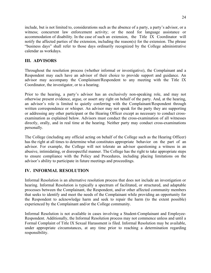include, but is not limited to, considerations such as the absence of a party, a party's advisor, or a witness; concurrent law enforcement activity; or the need for language assistance or accommodation of disability. In the case of such an extension, the Title IX Coordinator will notify the affected parties of the extension, including the reason(s) for the extension. The phrase "business days" shall refer to those days ordinarily recognized by the College administrative calendar as workdays.

# **III. ADVISORS**

Throughout the resolution process (whether informal or investigative), the Complainant and a Respondent may each have an advisor of their choice to provide support and guidance. An advisor may accompany the Complainant/Respondent to any meeting with the Title IX Coordinator, the investigator, or to a hearing.

Prior to the hearing, a party's advisor has an exclusively non-speaking role, and may not otherwise present evidence, argue, or assert any right on behalf of the party. And, at the hearing, an advisor's role is limited to quietly conferring with the Complainant/Respondent through written correspondence or whisper. An advisor may not speak for the party they are supporting or addressing any other participant or the Hearing Officer except as necessary to conduct crossexamination as explained below. Advisors must conduct the cross-examination of all witnesses directly, orally, and in real time at the hearing. Neither party may conduct cross-examinations personally.

The College (including any official acting on behalf of the College such as the Hearing Officer) has the right at all times to determine what constitutes appropriate behavior on the part of an advisor. For example, the College will not tolerate an advisor questioning a witness in an abusive, intimidating, or disrespectful manner. The College has the right to take appropriate steps to ensure compliance with the Policy and Procedures, including placing limitations on the advisor's ability to participate in future meetings and proceedings.

# **IV. INFORMAL RESOLUTION**

Informal Resolution is an alternative resolution process that does not include an investigation or hearing. Informal Resolution is typically a spectrum of facilitated, or structured, and adaptable processes between the Complainant, the Respondent, and/or other affected community members that seeks to identify and meet the needs of the Complainant while providing an opportunity for the Respondent to acknowledge harm and seek to repair the harm (to the extent possible) experienced by the Complainant and/or the College community.

Informal Resolution is not available in cases involving a Student-Complainant and Employee-Respondent. Additionally, the Informal Resolution process may not commence unless and until a Formal Complaint of Title IX Sexual Harassment is filed. Informal Resolution may be available, under appropriate circumstances, at any time prior to reaching a determination regarding responsibility.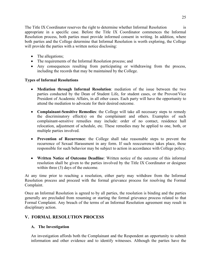The Title IX Coordinator reserves the right to determine whether Informal Resolution is appropriate in a specific case. Before the Title IX Coordinator commences the Informal Resolution process, both parties must provide informed consent in writing. In addition, where both parties and the College determine that Informal Resolution is worth exploring, the College will provide the parties with a written notice disclosing:

- The allegations;
- The requirements of the Informal Resolution process; and
- Any consequences resulting from participating or withdrawing from the process, including the records that may be maintained by the College.

## **Types of Informal Resolutions**

- **Mediation through Informal Resolution**: mediation of the issue between the two parties conducted by the Dean of Student Life, for student cases, or the Provost/Vice President of Academic Affairs, in all other cases. Each party will have the opportunity to attend the mediation to advocate for their desired outcome.
- **Complainant-Sensitive Remedies**: the College will take all necessary steps to remedy the discriminatory effect(s) on the complainant and others. Examples of such complainant-sensitive remedies may include: order of no contact, residence hall relocation, adjustment of schedule, etc. These remedies may be applied to one, both, or multiple parties involved.
- **Prevention of Recurrence**: the College shall take reasonable steps to prevent the recurrence of Sexual Harassment in any form. If such reoccurrence takes place, those responsible for such behavior may be subject to action in accordance with College policy.
- **Written Notice of Outcome Deadline**: Written notice of the outcome of this informal resolution shall be given to the parties involved by the Title IX Coordinator or designee within three (3) days of the outcome.

At any time prior to reaching a resolution, either party may withdraw from the Informal Resolution process and proceed with the formal grievance process for resolving the Formal Complaint.

Once an Informal Resolution is agreed to by all parties, the resolution is binding and the parties generally are precluded from resuming or starting the formal grievance process related to that Formal Complaint. Any breach of the terms of an Informal Resolution agreement may result in disciplinary action.

## **V. FORMAL RESOLUTION PROCESS**

#### **A. The Investigation**

An investigation affords both the Complainant and the Respondent an opportunity to submit information and other evidence and to identify witnesses. Although the parties have the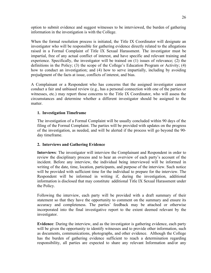option to submit evidence and suggest witnesses to be interviewed, the burden of gathering information in the investigation is with the College.

When the formal resolution process is initiated, the Title IX Coordinator will designate an investigator who will be responsible for gathering evidence directly related to the allegations raised in a Formal Complaint of Title IX Sexual Harassment. The investigator must be impartial, free of any actual conflict of interest, and have specific and relevant training and experience. Specifically, the investigator will be trained on (1) issues of relevance; (2) the definitions in the Policy; (3) the scope of the College's Education Program or Activity; (4) how to conduct an investigation; and (4) how to serve impartially, including by avoiding prejudgment of the facts at issue, conflicts of interest, and bias.

A Complainant or a Respondent who has concerns that the assigned investigator cannot conduct a fair and unbiased review (e.g., has a personal connection with one of the parties or witnesses, etc.) may report those concerns to the Title IX Coordinator, who will assess the circumstances and determine whether a different investigator should be assigned to the matter.

#### **1. Investigation Timeframe**

The investigation of a Formal Complaint will be usually concluded within 90 days of the filing of the Formal Complaint. The parties will be provided with updates on the progress of the investigation, as needed, and will be alerted if the process will go beyond the 90 day timeframe.

## **2. Interviews and Gathering Evidence**

**Interviews**: The investigator will interview the Complainant and Respondent in order to review the disciplinary process and to hear an overview of each party's account of the incident. Before any interview, the individual being interviewed will be informed in writing of the date, time, location, participants, and purpose of the interview. Such notice will be provided with sufficient time for the individual to prepare for the interview. The Respondent will be informed in writing if, during the investigation, additional information is disclosed that may constitute additional Title IX Sexual Harassment under the Policy.

Following the interview, each party will be provided with a draft summary of their statement so that they have the opportunity to comment on the summary and ensure its accuracy and completeness. The parties' feedback may be attached or otherwise incorporated into the final investigative report to the extent deemed relevant by the investigator.

**Evidence**: During the interview, and as the investigator is gathering evidence, each party will be given the opportunity to identify witnesses and to provide other information, such as documents, communications, photographs, and other evidence. Although the College has the burden of gathering evidence sufficient to reach a determination regarding responsibility, all parties are expected to share any relevant Information and/or any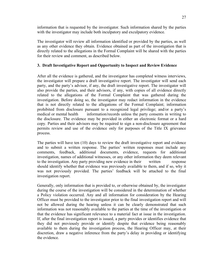information that is requested by the investigator. Such information shared by the parties with the investigator may include both inculpatory and exculpatory evidence.

The investigator will review all information identified or provided by the parties, as well as any other evidence they obtain. Evidence obtained as part of the investigation that is directly related to the allegations in the Formal Complaint will be shared with the parties for their review and comment, as described below.

## **3. Draft Investigative Report and Opportunity to Inspect and Review Evidence**

After all the evidence is gathered, and the investigator has completed witness interviews, the investigator will prepare a draft investigative report. The investigator will send each party, and the party's advisor, if any, the draft investigative report. The investigator will also provide the parties, and their advisors, if any, with copies of all evidence directly related to the allegations of the Formal Complaint that was gathered during the investigation. Before doing so, the investigator may redact information in the evidence that is not directly related to the allegations of the Formal Complaint; information prohibited from disclosure pursuant to a recognized legal privilege; and/or a party's medical or mental health information/records unless the party consents in writing to the disclosure. The evidence may be provided in either an electronic format or a hard copy. Parties and their advisors may be required to sign a non-disclosure agreement that permits review and use of the evidence only for purposes of the Title IX grievance process.

The parties will have ten (10) days to review the draft investigative report and evidence and to submit a written response. The parties' written responses must include any comments, feedback, additional documents, evidence, requests for additional investigation, names of additional witnesses, or any other information they deem relevant to the investigation. Any party providing new evidence in their written response should identify whether that evidence was previously available to them, and if so, why it was not previously provided. The parties' feedback will be attached to the final investigation report.

Generally, only information that is provided to, or otherwise obtained by, the investigator during the course of the investigation will be considered in the determination of whether a Policy violation occurred. Any and all information for consideration by the Hearing Officer must be provided to the investigator prior to the final investigation report and will not be allowed during the hearing unless it can be clearly demonstrated that such information was not reasonably available to the parties at the time of the investigation or that the evidence has significant relevance to a material fact at issue in the investigation. If, after the final investigation report is issued, a party provides or identifies evidence that they did not previously provide or identify despite that evidence being reasonably available to them during the investigation process, the Hearing Officer may, at their discretion, draw a negative inference from the party's delay in providing or identifying the evidence.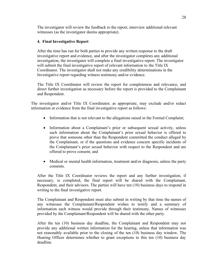The investigator will review the feedback to the report, interview additional relevant witnesses (as the investigator deems appropriate).

## **4. Final Investigative Report**

After the time has run for both parties to provide any written response to the draft investigative report and evidence, and after the investigator completes any additional investigation, the investigator will complete a final investigative report. The investigator will submit the final investigative report of relevant information to the Title IX Coordinator. The investigator shall not make any credibility determinations in the Investigative report regarding witness testimony and/or evidence.

The Title IX Coordinator will review the report for completeness and relevance, and direct further investigation as necessary before the report is provided to the Complainant and Respondent.

The investigator and/or Title IX Coordinator, as appropriate, may exclude and/or redact information or evidence from the final investigative report as follows:

- Information that is not relevant to the allegations raised in the Formal Complaint;
- Information about a Complainant's prior or subsequent sexual activity, unless such information about the Complainant's prior sexual behavior is offered to prove that someone other than the Respondent committed the conduct alleged by the Complainant, or if the questions and evidence concern specific incidents of the Complainant's prior sexual behavior with respect to the Respondent and are offered to prove consent; and
- Medical or mental health information, treatment and/or diagnosis, unless the party consents.

After the Title IX Coordinator reviews the report and any further investigation, if necessary, is completed, the final report will be shared with the Complainant, Respondent, and their advisors. The parties will have ten (10) business days to respond in writing to the final investigative report.

The Complainant and Respondent must also submit in writing by that time the names of any witnesses the Complainant/Respondent wishes to testify and a summary of information each witness would provide through their testimony. Names of witnesses provided by the Complainant/Respondent will be shared with the other party.

After the ten (10) business day deadline, the Complainant and Respondent may not provide any additional written information for the hearing, unless that information was not reasonably available prior to the closing of the ten (10) business day window. The Hearing Officer determines whether to grant exceptions to this ten (10) business day deadline.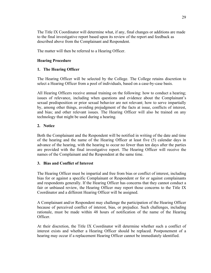The Title IX Coordinator will determine what, if any, final changes or additions are made to the final investigative report based upon its review of the report and feedback as described above from the Complainant and Respondent.

The matter will then be referred to a Hearing Officer.

## **Hearing Procedure**

#### **1. The Hearing Officer**

The Hearing Officer will be selected by the College. The College retains discretion to select a Hearing Officer from a pool of individuals, based on a case-by-case basis.

All Hearing Officers receive annual training on the following: how to conduct a hearing; issues of relevance, including when questions and evidence about the Complainant's sexual predisposition or prior sexual behavior are not relevant; how to serve impartially by, among other things, avoiding prejudgment of the facts at issue, conflicts of interest, and bias; and other relevant issues. The Hearing Officer will also be trained on any technology that might be used during a hearing.

#### **2. Notice**

Both the Complainant and the Respondent will be notified in writing of the date and time of the hearing and the name of the Hearing Officer at least five (5) calendar days in advance of the hearing, with the hearing to occur no fewer than ten days after the parties are provided with the final investigative report. The Hearing Officer will receive the names of the Complainant and the Respondent at the same time.

#### **3. Bias and Conflict of Interest**

The Hearing Officer must be impartial and free from bias or conflict of interest, including bias for or against a specific Complainant or Respondent or for or against complainants and respondents generally. If the Hearing Officer has concerns that they cannot conduct a fair or unbiased review, the Hearing Officer may report those concerns to the Title IX Coordinator and a different Hearing Officer will be assigned.

A Complainant and/or Respondent may challenge the participation of the Hearing Officer because of perceived conflict of interest, bias, or prejudice. Such challenges, including rationale, must be made within 48 hours of notification of the name of the Hearing Officer.

At their discretion, the Title IX Coordinator will determine whether such a conflict of interest exists and whether a Hearing Officer should be replaced. Postponement of a hearing may occur if a replacement Hearing Officer cannot be immediately identified.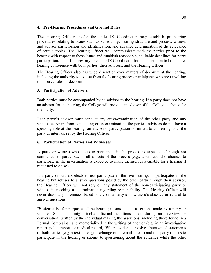## **4. Pre-Hearing Procedures and Ground Rules**

The Hearing Officer and/or the Title IX Coordinator may establish pre-hearing procedures relating to issues such as scheduling, hearing structure and process, witness and advisor participation and identification, and advance determination of the relevance of certain topics. The Hearing Officer will communicate with the parties prior to the hearing with respect to these issues and establish reasonable, equitable deadlines for party participation/input. If necessary, the Title IX Coordinator has the discretion to hold a prehearing conference with both parties, their advisors, and the Hearing Officer.

The Hearing Officer also has wide discretion over matters of decorum at the hearing, including the authority to excuse from the hearing process participants who are unwilling to observe rules of decorum.

## **5. Participation of Advisors**

Both parties must be accompanied by an advisor to the hearing. If a party does not have an advisor for the hearing, the College will provide an advisor of the College's choice for that party.

Each party's advisor must conduct any cross-examination of the other party and any witnesses. Apart from conducting cross-examination, the parties' advisors do not have a speaking role at the hearing; an advisors' participation is limited to conferring with the party at intervals set by the Hearing Officer.

## **6. Participation of Parties and Witnesses**

A party or witness who elects to participate in the process is expected, although not compelled, to participate in all aspects of the process (e.g., a witness who chooses to participate in the investigation is expected to make themselves available for a hearing if requested to do so).

If a party or witness elects to not participate in the live hearing, or participates in the hearing but refuses to answer questions posed by the other party through their advisor, the Hearing Officer will not rely on any statement of the non-participating party or witness in reaching a determination regarding responsibility. The Hearing Officer will never draw any inferences based solely on a party's or witness's absence or refusal to answer questions.

"**Statements**" for purposes of the hearing means factual assertions made by a party or witness. Statements might include factual assertions made during an interview or conversation, written by the individual making the assertions (including those found in a Formal Complaint), and memorialized in the writing of another (e.g. in an investigative report, police report, or medical record). Where evidence involves intertwined statements of both parties (e.g. a text message exchange or an email thread) and one party refuses to participate in the hearing or submit to questioning about the evidence while the other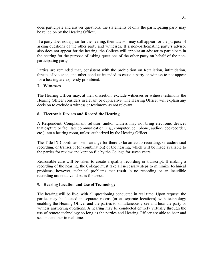does participate and answer questions, the statements of only the participating party may be relied on by the Hearing Officer.

If a party does not appear for the hearing, their advisor may still appear for the purpose of asking questions of the other party and witnesses. If a non-participating party's advisor also does not appear for the hearing, the College will appoint an advisor to participate in the hearing for the purpose of asking questions of the other party on behalf of the nonparticipating party.

Parties are reminded that, consistent with the prohibition on Retaliation, intimidation, threats of violence, and other conduct intended to cause a party or witness to not appear for a hearing are expressly prohibited.

#### **7. Witnesses**

The Hearing Officer may, at their discretion, exclude witnesses or witness testimony the Hearing Officer considers irrelevant or duplicative. The Hearing Officer will explain any decision to exclude a witness or testimony as not relevant.

#### **8. Electronic Devices and Record the Hearing**

A Respondent, Complainant, advisor, and/or witness may not bring electronic devices that capture or facilitate communication (e.g., computer, cell phone, audio/video recorder, etc.) into a hearing room, unless authorized by the Hearing Officer.

The Title IX Coordinator will arrange for there to be an audio recording, or audiovisual recording, or transcript (or combination) of the hearing, which will be made available to the parties for review and kept on file by the College for seven years.

Reasonable care will be taken to create a quality recording or transcript. If making a recording of the hearing, the College must take all necessary steps to minimize technical problems, however, technical problems that result in no recording or an inaudible recording are not a valid basis for appeal.

## **9. Hearing Location and Use of Technology**

The hearing will be live, with all questioning conducted in real time. Upon request, the parties may be located in separate rooms (or at separate locations) with technology enabling the Hearing Officer and the parties to simultaneously see and hear the party or witness answering questions. A hearing may be conducted entirely virtually through the use of remote technology so long as the parties and Hearing Officer are able to hear and see one another in real time.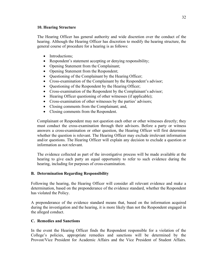#### **10. Hearing Structure**

The Hearing Officer has general authority and wide discretion over the conduct of the hearing. Although the Hearing Officer has discretion to modify the hearing structure, the general course of procedure for a hearing is as follows:

- Introductions;
- Respondent's statement accepting or denying responsibility;
- Opening Statement from the Complainant;
- Opening Statement from the Respondent;
- Questioning of the Complainant by the Hearing Officer;
- Cross-examination of the Complainant by the Respondent's advisor;
- Questioning of the Respondent by the Hearing Officer;
- Cross-examination of the Respondent by the Complainant's advisor;
- Hearing Officer questioning of other witnesses (if applicable);
- Cross-examination of other witnesses by the parties' advisors;
- Closing comments from the Complainant; and,
- Closing comments from the Respondent.

Complainant or Respondent may not question each other or other witnesses directly; they must conduct the cross-examination through their advisors. Before a party or witness answers a cross-examination or other question, the Hearing Officer will first determine whether the question is relevant. The Hearing Officer may exclude irrelevant information and/or questions. The Hearing Officer will explain any decision to exclude a question or information as not relevant.

The evidence collected as part of the investigative process will be made available at the hearing to give each party an equal opportunity to refer to such evidence during the hearing, including for purposes of cross-examination.

# **B. Determination Regarding Responsibility**

Following the hearing, the Hearing Officer will consider all relevant evidence and make a determination, based on the preponderance of the evidence standard, whether the Respondent has violated the Policy.

A preponderance of the evidence standard means that, based on the information acquired during the investigation and the hearing, it is more likely than not the Respondent engaged in the alleged conduct.

# **C. Remedies and Sanctions**

In the event the Hearing Officer finds the Respondent responsible for a violation of the College's policies, appropriate remedies and sanctions will be determined by the Provost/Vice President for Academic Affairs and the Vice President of Student Affairs.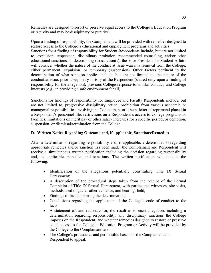Remedies are designed to resort or preserve equal access to the College's Education Program or Activity and may be disciplinary or punitive.

Upon a finding of responsibility, the Complainant will be provided with remedies designed to restore access to the College's educational and employment programs and activities.

Sanctions for a finding of responsibility for Student Respondents include, but are not limited to, expulsion, suspension, disciplinary probation, recommended counseling, and/or other educational sanctions. In determining (a) sanction(s), the Vice President for Student Affairs will consider whether the nature of the conduct at issue warrants removal from the College, either permanent (expulsion) or temporary (suspension). Other factors pertinent to the determination of what sanction applies include, but are not limited to, the nature of the conduct at issue, prior disciplinary history of the Respondent (shared only upon a finding of responsibility for the allegation), previous College response to similar conduct, and College interests (e.g., in providing a safe environment for all).

Sanctions for findings of responsibility for Employee and Faculty Respondents include, but are not limited to, progressive disciplinary action; prohibition from various academic or managerial responsibilities involving the Complainant or others; letter of reprimand placed in a Respondent's personnel file; restrictions on a Respondent's access to College programs or facilities; limitations on merit pay or other salary increases for a specific period; or demotion, suspension, or dismissal/termination from the College.

## **D. Written Notice Regarding Outcome and, if applicable, Sanctions/Remedies**

After a determination regarding responsibility and, if applicable, a determination regarding appropriate remedies and/or sanction has been made, the Complainant and Respondent will receive a simultaneous written notification including the decision regarding responsibility and, as applicable, remedies and sanctions. The written notification will include the following:

- Identification of the allegations potentially constituting Title IX Sexual Harassment;
- A description of the procedural steps taken from the receipt of the Formal Complaint of Title IX Sexual Harassment, with parties and witnesses, site visits, methods used to gather other evidence, and hearings held;
- Findings of fact supporting the determination;
- Conclusions regarding the application of the College's code of conduct to the facts;
- A statement of, and rationale for, the result as to each allegation, including a determination regarding responsibility, any disciplinary sanctions the College imposes on the Respondent, and whether remedies designed to restore or preserve equal access to the College's Education Program or Activity will be provided by the College to the Complainant; and
- The College's procedures and permissible bases for the Complainant and Respondent to appeal.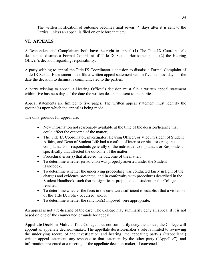The written notification of outcome becomes final seven (7) days after it is sent to the Parties, unless an appeal is filed on or before that day.

# **VI. APPEALS**

A Respondent and Complainant both have the right to appeal (1) The Title IX Coordinator's decision to dismiss a Formal Complaint of Title IX Sexual Harassment; and (2) the Hearing Officer's decision regarding responsibility.

A party wishing to appeal the Title IX Coordinator's decision to dismiss a Formal Complaint of Title IX Sexual Harassment must file a written appeal statement within five business days of the date the decision to dismiss is communicated to the parties.

A party wishing to appeal a Hearing Officer's decision must file a written appeal statement within five business days of the date the written decision is sent to the parties.

Appeal statements are limited to five pages. The written appeal statement must identify the ground(s) upon which the appeal is being made.

The only grounds for appeal are:

- New information not reasonably available at the time of the decision/hearing that could affect the outcome of the matter;
- The Title IX Coordinator, investigator, Hearing Officer, or Vice President of Student Affairs, and Dean of Student Life had a conflict of interest or bias for or against complainants or respondents generally or the individual Complainant or Respondent specifically that affected the outcome of the matter;
- Procedural error(s) that affected the outcome of the matter.
- To determine whether jurisdiction was properly asserted under the Student Handbook;
- To determine whether the underlying proceeding was conducted fairly in light of the charges and evidence presented, and in conformity with procedures described in the Student Handbook, such that no significant prejudice to a student or the College resulted;
- To determine whether the facts in the case were sufficient to establish that a violation of the Title IX Policy occurred; and/or
- To determine whether the sanction(s) imposed were appropriate.

An appeal is not a re-hearing of the case. The College may summarily deny an appeal if it is not based on one of the enumerated grounds for appeal.

**Appellate Decision-Maker**: If the College does not summarily deny the appeal, the College will appoint an appellate decision-maker. The appellate decision-maker's role is limited to reviewing the underlying record of the investigation and hearing, the appealing party's ("Appellant") written appeal statement, any response to that statement by the other party ("Appellee"), and information presented at a meeting of the appellate decision-maker, if convened.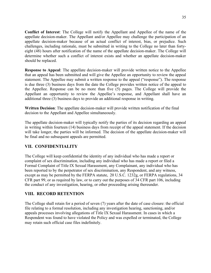**Conflict of Interest**: The College will notify the Appellant and Appellee of the name of the appellate decision-maker. The Appellant and/or Appellee may challenge the participation of an appellate decision-maker because of an actual conflict of interest, bias, or prejudice. Such challenges, including rationale, must be submitted in writing to the College no later than fortyeight (48) hours after notification of the name of the appellate decision-maker. The College will determine whether such a conflict of interest exists and whether an appellate decision-maker should be replaced.

**Response to Appeal**: The appellate decision-maker will provide written notice to the Appellee that an appeal has been submitted and will give the Appellee an opportunity to review the appeal statement. The Appellee may submit a written response to the appeal ("response"). The response is due three (3) business days from the date the College provides written notice of the appeal to the Appellee. Response can be no more than five (5) pages. The College will provide the Appellant an opportunity to review the Appellee's response, and Appellant shall have an additional three (3) business days to provide an additional response in writing.

**Written Decision**: The appellate decision-maker will provide written notification of the final decision to the Appellant and Appellee simultaneously.

The appellate decision-maker will typically notify the parties of its decision regarding an appeal in writing within fourteen (14) business days from receipt of the appeal statement. If the decision will take longer, the parties will be informed. The decision of the appellate decision-maker will be final and no subsequent appeals are permitted.

# **VII. CONFIDENTIALITY**

The College will keep confidential the identity of any individual who has made a report or complaint of sex discrimination, including any individual who has made a report or filed a Formal Complaint of Title IX Sexual Harassment, any Complainant, any individual who has been reported to by the perpetrator of sex discrimination, any Respondent, and any witness, except as may be permitted by the FERPA statute, 20 U.S.C. 1232g, or FERPA regulations, 34 CFR part 99, or as required by law, or to carry out the purposes of 34 CFR part 106, including the conduct of any investigation, hearing, or other proceeding arising thereunder.

# **VIII. RECORD RETENTION**

The College shall retain for a period of seven (7) years after the date of case closure: the official file relating to a formal resolution, including any investigation hearing, sanctioning, and/or appeals processes involving allegations of Title IX Sexual Harassment. In cases in which a Respondent was found to have violated the Policy and was expelled or terminated, the College may retain such official case files indefinitely.